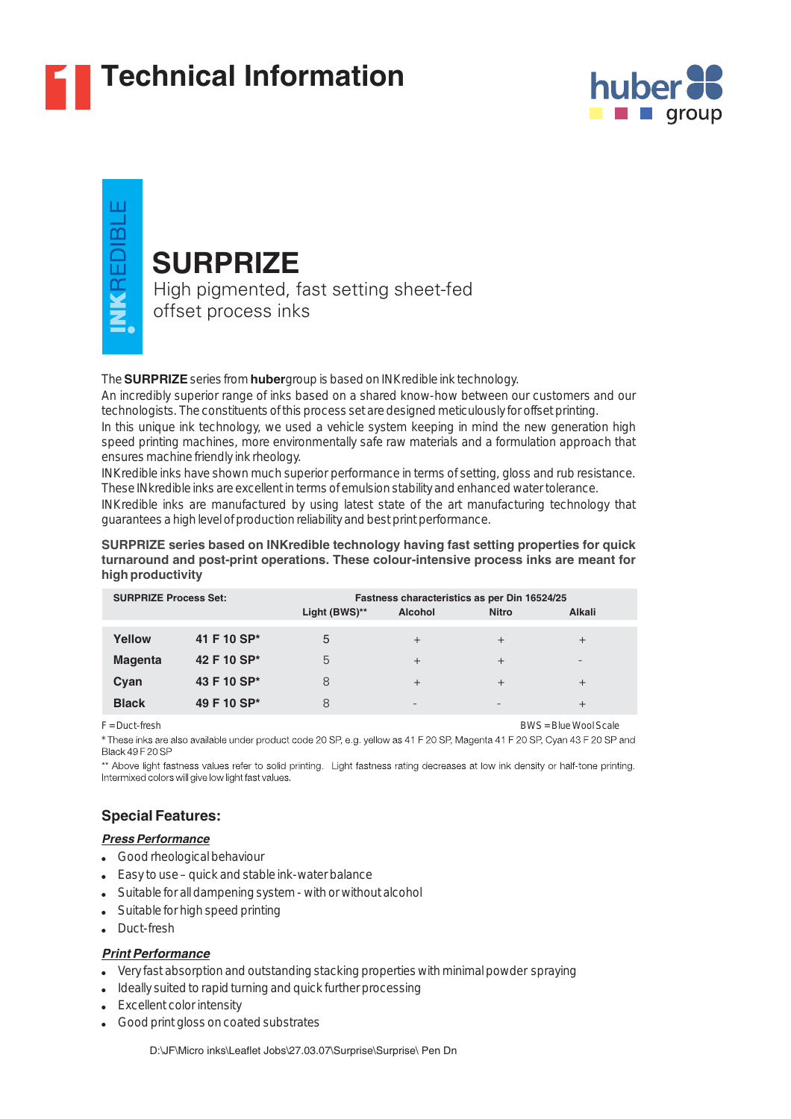

# **1 Technical Information**



VKREDIBL

# **SURPRIZE**

High pigmented, fast setting sheet-fed offset process inks

The **SURPRIZE** series from **huber** group is based on INK redible ink technology.

An incredibly superior range of inks based on a shared know-how between our customers and our technologists. The constituents of this process set are designed meticulously for offset printing.

In this unique ink technology, we used a vehicle system keeping in mind the new generation high speed printing machines, more environmentally safe raw materials and a formulation approach that ensures machine friendly ink rheology.

INKredible inks have shown much superior performance in terms of setting, gloss and rub resistance. These INkredible inks are excellent in terms of emulsion stability and enhanced water tolerance.

INKredible inks are manufactured by using latest state of the art manufacturing technology that guarantees a high level of production reliability and best print performance.

#### **SURPRIZE series based on INKredible technology having fast setting properties for quick turnaround and post-print operations. These colour-intensive process inks are meant for high productivity**

| <b>SURPRIZE Process Set:</b> |             | Fastness characteristics as per Din 16524/25 |                |              |                          |
|------------------------------|-------------|----------------------------------------------|----------------|--------------|--------------------------|
|                              |             | Light (BWS)**                                | <b>Alcohol</b> | <b>Nitro</b> | Alkali                   |
| Yellow                       | 41 F 10 SP* | 5                                            | $\overline{+}$ | $^{+}$       | $^{+}$                   |
| <b>Magenta</b>               | 42 F 10 SP* | 5                                            | $^{+}$         | $^{+}$       | $\overline{\phantom{0}}$ |
| Cyan                         | 43 F 10 SP* | 8                                            | $^{+}$         | $^{+}$       | $^{+}$                   |
| <b>Black</b>                 | 49 F 10 SP* | 8                                            | -              |              |                          |

F = Duct-fresh BWS = Blue Wool Scale

These inks are also available under product code 20 SP, e.g. yellow as 41 F 20 SP, Magenta 41 F 20 SP, Cyan 43 F 20 SP and **Black 49 F 20 SP** 

\*\* Above light fastness values refer to solid printing. Light fastness rating decreases at low ink density or half-tone printing. Intermixed colors will give low light fast values.

## **Special Features:**

#### *Press Performance*

- Good rheological behaviour
- Easy to use quick and stable ink-water balance ●
- Suitable for all dampening system with or without alcohol ●
- Suitable for high speed printing
- Duct-fresh

#### *Print Performance*

- Very fast absorption and outstanding stacking properties with minimal powder spraying
- Ideally suited to rapid turning and quick further processing
- Excellent color intensity
- Good print gloss on coated substrates ●

D:\JF\Micro inks\Leaflet Jobs\27.03.07\Surprise\Surprise\ Pen Dn